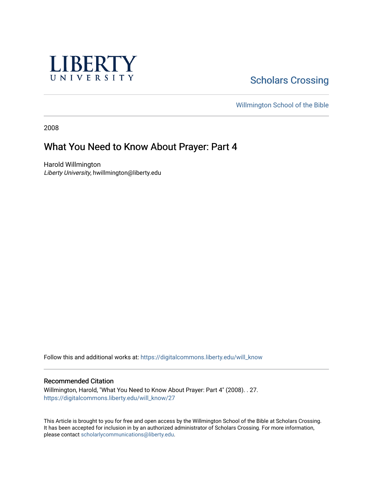

# **Scholars Crossing**

[Willmington School of the Bible](https://digitalcommons.liberty.edu/will_bible) 

2008

# What You Need to Know About Prayer: Part 4

Harold Willmington Liberty University, hwillmington@liberty.edu

Follow this and additional works at: [https://digitalcommons.liberty.edu/will\\_know](https://digitalcommons.liberty.edu/will_know?utm_source=digitalcommons.liberty.edu%2Fwill_know%2F27&utm_medium=PDF&utm_campaign=PDFCoverPages)

#### Recommended Citation

Willmington, Harold, "What You Need to Know About Prayer: Part 4" (2008). . 27. [https://digitalcommons.liberty.edu/will\\_know/27](https://digitalcommons.liberty.edu/will_know/27?utm_source=digitalcommons.liberty.edu%2Fwill_know%2F27&utm_medium=PDF&utm_campaign=PDFCoverPages) 

This Article is brought to you for free and open access by the Willmington School of the Bible at Scholars Crossing. It has been accepted for inclusion in by an authorized administrator of Scholars Crossing. For more information, please contact [scholarlycommunications@liberty.edu.](mailto:scholarlycommunications@liberty.edu)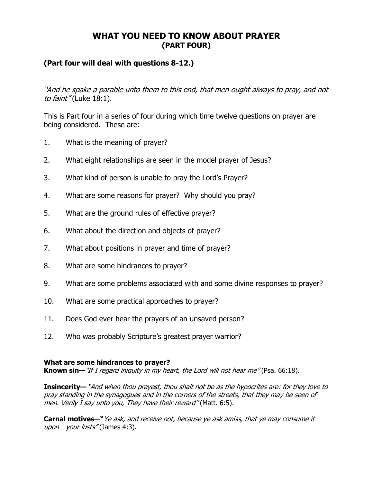# WHAT YOU NEED TO KNOW ABOUT PRAYER (PART FOUR)

# (Part four will deal with questions 8-12.)

"And he spake a parable unto them to this end, that men ought always to pray, and not to faint" (Luke 18:1).

This is Part four in a series of four during which time twelve questions on prayer are being considered. These are:

- 1. What is the meaning of prayer?
- 2. What eight relationships are seen in the model prayer of Jesus?
- 3. What kind of person is unable to pray the Lord's Prayer?
- 4. What are some reasons for prayer? Why should you pray?
- 5. What are the ground rules of effective prayer?
- 6. What about the direction and objects of prayer?
- 7. What about positions in prayer and time of prayer?
- 8. What are some hindrances to prayer?
- 9. What are some problems associated with and some divine responses to prayer?
- 10. What are some practical approaches to prayer?
- 11. Does God ever hear the prayers of an unsaved person?
- 12. Who was probably Scripture's greatest prayer warrior?

## What are some hindrances to prayer?

Known sin—"If I regard iniquity in my heart, the Lord will not hear me" (Psa. 66:18).

Insincerity— "And when thou prayest, thou shalt not be as the hypocrites are: for they love to pray standing in the synagogues and in the corners of the streets, that they may be seen of men. Verily I say unto you, They have their reward" (Matt. 6:5).

Carnal motives—" Ye ask, and receive not, because ye ask amiss, that ye may consume it upon your lusts" (James 4:3).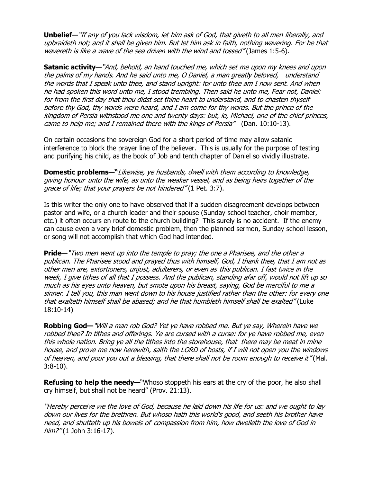Unbelief—"If any of you lack wisdom, let him ask of God, that giveth to all men liberally, and upbraideth not; and it shall be given him. But let him ask in faith, nothing wavering. For he that wavereth is like a wave of the sea driven with the wind and tossed" (James 1:5-6).

Satanic activity—"And, behold, an hand touched me, which set me upon my knees and upon the palms of my hands. And he said unto me, O Daniel, a man greatly beloved, understand the words that I speak unto thee, and stand upright: for unto thee am I now sent. And when he had spoken this word unto me, I stood trembling. Then said he unto me, Fear not, Daniel: for from the first day that thou didst set thine heart to understand, and to chasten thyself before thy God, thy words were heard, and I am come for thy words. But the prince of the kingdom of Persia withstood me one and twenty days: but, lo, Michael, one of the chief princes, came to help me; and I remained there with the kings of Persia" (Dan. 10:10-13).

On certain occasions the sovereign God for a short period of time may allow satanic interference to block the prayer line of the believer. This is usually for the purpose of testing and purifying his child, as the book of Job and tenth chapter of Daniel so vividly illustrate.

Domestic problems—"Likewise, ye husbands, dwell with them according to knowledge, giving honour unto the wife, as unto the weaker vessel, and as being heirs together of the grace of life; that your prayers be not hindered" (1 Pet. 3:7).

Is this writer the only one to have observed that if a sudden disagreement develops between pastor and wife, or a church leader and their spouse (Sunday school teacher, choir member, etc.) it often occurs en route to the church building? This surely is no accident. If the enemy can cause even a very brief domestic problem, then the planned sermon, Sunday school lesson, or song will not accomplish that which God had intended.

**Pride—**"Two men went up into the temple to pray; the one a Pharisee, and the other a publican. The Pharisee stood and prayed thus with himself, God, I thank thee, that I am not as other men are, extortioners, unjust, adulterers, or even as this publican. I fast twice in the week, I give tithes of all that I possess. And the publican, standing afar off, would not lift up so much as his eyes unto heaven, but smote upon his breast, saying, God be merciful to me a sinner. I tell you, this man went down to his house justified rather than the other: for every one that exalteth himself shall be abased; and he that humbleth himself shall be exalted" (Luke 18:10-14)

Robbing God—"Will a man rob God? Yet ye have robbed me. But ye say, Wherein have we robbed thee? In tithes and offerings. Ye are cursed with a curse: for ye have robbed me, even this whole nation. Bring ye all the tithes into the storehouse, that there may be meat in mine house, and prove me now herewith, saith the LORD of hosts, if I will not open you the windows of heaven, and pour you out a blessing, that there shall not be room enough to receive it" (Mal. 3:8-10).

**Refusing to help the needy—**"Whoso stoppeth his ears at the cry of the poor, he also shall cry himself, but shall not be heard" (Prov. 21:13).

"Hereby perceive we the love of God, because he laid down his life for us: and we ought to lay down our lives for the brethren. But whoso hath this world's good, and seeth his brother have need, and shutteth up his bowels of compassion from him, how dwelleth the love of God in him?" (1 John 3:16-17).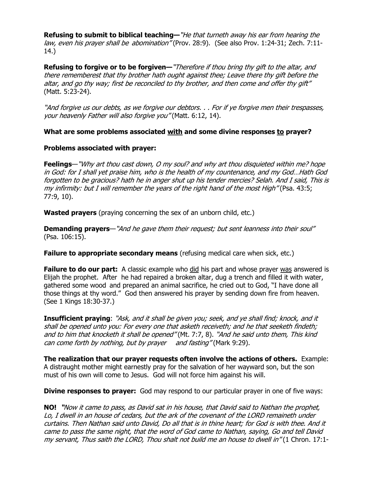Refusing to submit to biblical teaching—"He that turneth away his ear from hearing the law, even his prayer shall be abomination" (Prov. 28:9). (See also Prov. 1:24-31; Zech. 7:11-14.)

Refusing to forgive or to be forgiven—"Therefore if thou bring thy gift to the altar, and there rememberest that thy brother hath ought against thee; Leave there thy gift before the altar, and go thy way; first be reconciled to thy brother, and then come and offer thy gift" (Matt. 5:23-24).

"And forgive us our debts, as we forgive our debtors. . . For if ye forgive men their trespasses, your heavenly Father will also forgive you" (Matt. 6:12, 14).

# What are some problems associated with and some divine responses to prayer?

## Problems associated with prayer:

Feelings—"Why art thou cast down, O my soul? and why art thou disquieted within me? hope in God: for I shall yet praise him, who is the health of my countenance, and my God…Hath God forgotten to be gracious? hath he in anger shut up his tender mercies? Selah. And I said, This is my infirmity: but I will remember the years of the right hand of the most High" (Psa. 43:5; 77:9, 10).

**Wasted prayers** (praying concerning the sex of an unborn child, etc.)

Demanding prayers—"And he gave them their request; but sent leanness into their soul" (Psa. 106:15).

**Failure to appropriate secondary means** (refusing medical care when sick, etc.)

**Failure to do our part:** A classic example who did his part and whose prayer was answered is Elijah the prophet. After he had repaired a broken altar, dug a trench and filled it with water, gathered some wood and prepared an animal sacrifice, he cried out to God, "I have done all those things at thy word." God then answered his prayer by sending down fire from heaven. (See 1 Kings 18:30-37.)

Insufficient praying: "Ask, and it shall be given you; seek, and ye shall find; knock, and it shall be opened unto you: For every one that asketh receiveth; and he that seeketh findeth; and to him that knocketh it shall be opened" (Mt. 7:7, 8). "And he said unto them, This kind can come forth by nothing, but by prayer and fasting" (Mark 9:29).

The realization that our prayer requests often involve the actions of others. Example: A distraught mother might earnestly pray for the salvation of her wayward son, but the son must of his own will come to Jesus. God will not force him against his will.

**Divine responses to prayer:** God may respond to our particular prayer in one of five ways:

NO! "Now it came to pass, as David sat in his house, that David said to Nathan the prophet, Lo, I dwell in an house of cedars, but the ark of the covenant of the LORD remaineth under curtains. Then Nathan said unto David, Do all that is in thine heart; for God is with thee. And it came to pass the same night, that the word of God came to Nathan, saying, Go and tell David my servant, Thus saith the LORD, Thou shalt not build me an house to dwell in" (1 Chron. 17:1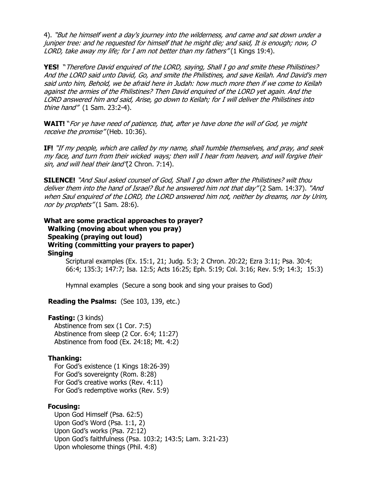4). "But he himself went a day's journey into the wilderness, and came and sat down under a juniper tree: and he requested for himself that he might die; and said, It is enough; now, O LORD, take away my life; for I am not better than my fathers" (1 Kings 19:4).

YES! "Therefore David enquired of the LORD, saying, Shall I go and smite these Philistines? And the LORD said unto David, Go, and smite the Philistines, and save Keilah. And David's men said unto him, Behold, we be afraid here in Judah: how much more then if we come to Keilah against the armies of the Philistines? Then David enquired of the LORD yet again. And the LORD answered him and said, Arise, go down to Keilah; for I will deliver the Philistines into thine hand" (1 Sam. 23:2-4).

WAIT! "For ye have need of patience, that, after ye have done the will of God, ye might receive the promise" (Heb. 10:36).

IF! "If my people, which are called by my name, shall humble themselves, and pray, and seek my face, and turn from their wicked ways; then will I hear from heaven, and will forgive their sin, and will heal their land"(2 Chron. 7:14).

SILENCE! "And Saul asked counsel of God, Shall I go down after the Philistines? wilt thou deliver them into the hand of Israel? But he answered him not that day" (2 Sam. 14:37). "And when Saul enquired of the LORD, the LORD answered him not, neither by dreams, nor by Urim, nor by prophets" (1 Sam. 28:6).

What are some practical approaches to prayer? Walking (moving about when you pray) Speaking (praying out loud) Writing (committing your prayers to paper) Singing Scriptural examples (Ex. 15:1, 21; Judg. 5:3; 2 Chron. 20:22; Ezra 3:11; Psa. 30:4;

66:4; 135:3; 147:7; Isa. 12:5; Acts 16:25; Eph. 5:19; Col. 3:16; Rev. 5:9; 14:3; 15:3)

Hymnal examples (Secure a song book and sing your praises to God)

**Reading the Psalms:** (See 103, 139, etc.)

#### **Fasting:** (3 kinds)

 Abstinence from sex (1 Cor. 7:5) Abstinence from sleep (2 Cor. 6:4; 11:27) Abstinence from food (Ex. 24:18; Mt. 4:2)

## Thanking:

 For God's existence (1 Kings 18:26-39) For God's sovereignty (Rom. 8:28) For God's creative works (Rev. 4:11) For God's redemptive works (Rev. 5:9)

## Focusing:

 Upon God Himself (Psa. 62:5) Upon God's Word (Psa. 1:1, 2) Upon God's works (Psa. 72:12) Upon God's faithfulness (Psa. 103:2; 143:5; Lam. 3:21-23) Upon wholesome things (Phil. 4:8)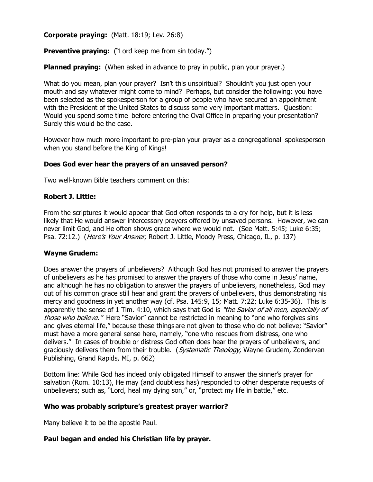Corporate praying: (Matt. 18:19; Lev. 26:8)

**Preventive praying:** ("Lord keep me from sin today.")

**Planned praying:** (When asked in advance to pray in public, plan your prayer.)

What do you mean, plan your prayer? Isn't this unspiritual? Shouldn't you just open your mouth and say whatever might come to mind? Perhaps, but consider the following: you have been selected as the spokesperson for a group of people who have secured an appointment with the President of the United States to discuss some very important matters. Question: Would you spend some time before entering the Oval Office in preparing your presentation? Surely this would be the case.

However how much more important to pre-plan your prayer as a congregational spokesperson when you stand before the King of Kings!

## Does God ever hear the prayers of an unsaved person?

Two well-known Bible teachers comment on this:

#### Robert J. Little:

From the scriptures it would appear that God often responds to a cry for help, but it is less likely that He would answer intercessory prayers offered by unsaved persons. However, we can never limit God, and He often shows grace where we would not. (See Matt. 5:45; Luke 6:35; Psa. 72:12.) (*Here's Your Answer*, Robert J. Little, Moody Press, Chicago, IL, p. 137)

#### Wayne Grudem:

Does answer the prayers of unbelievers? Although God has not promised to answer the prayers of unbelievers as he has promised to answer the prayers of those who come in Jesus' name, and although he has no obligation to answer the prayers of unbelievers, nonetheless, God may out of his common grace still hear and grant the prayers of unbelievers, thus demonstrating his mercy and goodness in yet another way (cf. Psa. 145:9, 15; Matt. 7:22; Luke 6:35-36). This is apparently the sense of 1 Tim. 4:10, which says that God is "the Savior of all men, especially of those who believe." Here "Savior" cannot be restricted in meaning to "one who forgives sins and gives eternal life," because these things are not given to those who do not believe; "Savior" must have a more general sense here, namely, "one who rescues from distress, one who delivers." In cases of trouble or distress God often does hear the prayers of unbelievers, and graciously delivers them from their trouble. (Systematic Theology, Wayne Grudem, Zondervan Publishing, Grand Rapids, MI, p. 662)

Bottom line: While God has indeed only obligated Himself to answer the sinner's prayer for salvation (Rom. 10:13), He may (and doubtless has) responded to other desperate requests of unbelievers; such as, "Lord, heal my dying son," or, "protect my life in battle," etc.

## Who was probably scripture's greatest prayer warrior?

Many believe it to be the apostle Paul.

## Paul began and ended his Christian life by prayer.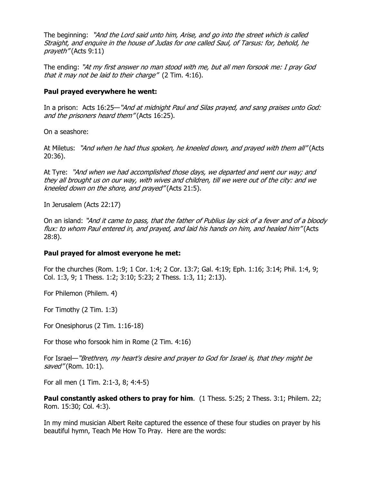The beginning: "And the Lord said unto him, Arise, and go into the street which is called Straight, and enquire in the house of Judas for one called Saul, of Tarsus: for, behold, he prayeth" (Acts 9:11)

The ending: "At my first answer no man stood with me, but all men forsook me: I pray God that it may not be laid to their charge" (2 Tim. 4:16).

## Paul prayed everywhere he went:

In a prison: Acts 16:25—"And at midnight Paul and Silas prayed, and sang praises unto God: and the prisoners heard them" (Acts 16:25).

On a seashore:

At Miletus: "And when he had thus spoken, he kneeled down, and prayed with them all" (Acts 20:36).

At Tyre: "And when we had accomplished those days, we departed and went our way; and they all brought us on our way, with wives and children, till we were out of the city: and we kneeled down on the shore, and prayed" (Acts 21:5).

In Jerusalem (Acts 22:17)

On an island: "And it came to pass, that the father of Publius lay sick of a fever and of a bloody flux: to whom Paul entered in, and prayed, and laid his hands on him, and healed him" (Acts 28:8).

#### Paul prayed for almost everyone he met:

For the churches (Rom. 1:9; 1 Cor. 1:4; 2 Cor. 13:7; Gal. 4:19; Eph. 1:16; 3:14; Phil. 1:4, 9; Col. 1:3, 9; 1 Thess. 1:2; 3:10; 5:23; 2 Thess. 1:3, 11; 2:13).

For Philemon (Philem. 4)

For Timothy (2 Tim. 1:3)

For Onesiphorus (2 Tim. 1:16-18)

For those who forsook him in Rome (2 Tim. 4:16)

For Israel—"Brethren, my heart's desire and prayer to God for Israel is, that they might be saved" (Rom. 10:1).

For all men (1 Tim. 2:1-3, 8; 4:4-5)

Paul constantly asked others to pray for him. (1 Thess. 5:25; 2 Thess. 3:1; Philem. 22: Rom. 15:30; Col. 4:3).

In my mind musician Albert Reite captured the essence of these four studies on prayer by his beautiful hymn, Teach Me How To Pray. Here are the words: